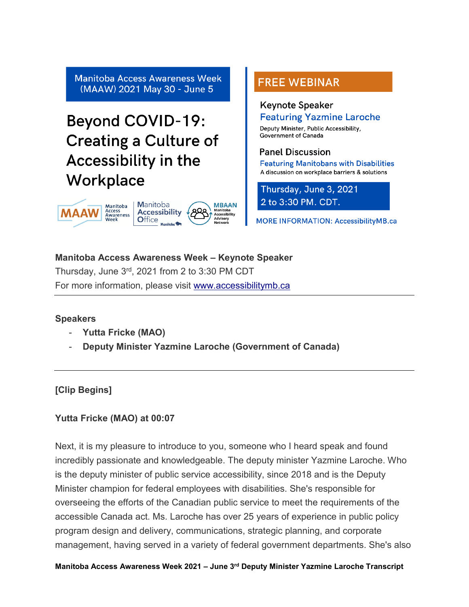**Manitoba Access Awareness Week** (MAAW) 2021 May 30 - June 5

# **Beyond COVID-19: Creating a Culture of** Accessibility in the Workplace



# **FREE WEBINAR**

#### **Keynote Speaker Featuring Yazmine Laroche**

Deputy Minister, Public Accessibility, **Government of Canada** 

#### **Panel Discussion**

**Featuring Manitobans with Disabilities** A discussion on workplace barriers & solutions

Thursday, June 3, 2021 2 to 3:30 PM. CDT.

**MORE INFORMATION: AccessibilityMB.ca** 

**Manitoba Access Awareness Week – Keynote Speaker** Thursday, June 3rd, 2021 from 2 to 3:30 PM CDT For more information, please visit [www.accessibilitymb.ca](http://www.accessibilitymb.ca/)

#### **Speakers**

- **Yutta Fricke (MAO)**
- **Deputy Minister Yazmine Laroche (Government of Canada)**

## **[Clip Begins]**

### **Yutta Fricke (MAO) at 00:07**

Next, it is my pleasure to introduce to you, someone who I heard speak and found incredibly passionate and knowledgeable. The deputy minister Yazmine Laroche. Who is the deputy minister of public service accessibility, since 2018 and is the Deputy Minister champion for federal employees with disabilities. She's responsible for overseeing the efforts of the Canadian public service to meet the requirements of the accessible Canada act. Ms. Laroche has over 25 years of experience in public policy program design and delivery, communications, strategic planning, and corporate management, having served in a variety of federal government departments. She's also

**Manitoba Access Awareness Week 2021 – June 3rd Deputy Minister Yazmine Laroche Transcript**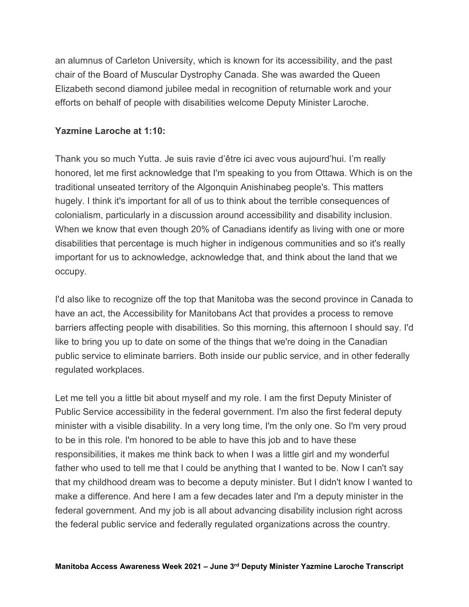an alumnus of Carleton University, which is known for its accessibility, and the past chair of the Board of Muscular Dystrophy Canada. She was awarded the Queen Elizabeth second diamond jubilee medal in recognition of returnable work and your efforts on behalf of people with disabilities welcome Deputy Minister Laroche.

#### **Yazmine Laroche at 1:10:**

Thank you so much Yutta. Je suis ravie d'être ici avec vous aujourd'hui. I'm really honored, let me first acknowledge that I'm speaking to you from Ottawa. Which is on the traditional unseated territory of the Algonquin Anishinabeg people's. This matters hugely. I think it's important for all of us to think about the terrible consequences of colonialism, particularly in a discussion around accessibility and disability inclusion. When we know that even though 20% of Canadians identify as living with one or more disabilities that percentage is much higher in indigenous communities and so it's really important for us to acknowledge, acknowledge that, and think about the land that we occupy.

I'd also like to recognize off the top that Manitoba was the second province in Canada to have an act, the Accessibility for Manitobans Act that provides a process to remove barriers affecting people with disabilities. So this morning, this afternoon I should say. I'd like to bring you up to date on some of the things that we're doing in the Canadian public service to eliminate barriers. Both inside our public service, and in other federally regulated workplaces.

Let me tell you a little bit about myself and my role. I am the first Deputy Minister of Public Service accessibility in the federal government. I'm also the first federal deputy minister with a visible disability. In a very long time, I'm the only one. So I'm very proud to be in this role. I'm honored to be able to have this job and to have these responsibilities, it makes me think back to when I was a little girl and my wonderful father who used to tell me that I could be anything that I wanted to be. Now I can't say that my childhood dream was to become a deputy minister. But I didn't know I wanted to make a difference. And here I am a few decades later and I'm a deputy minister in the federal government. And my job is all about advancing disability inclusion right across the federal public service and federally regulated organizations across the country.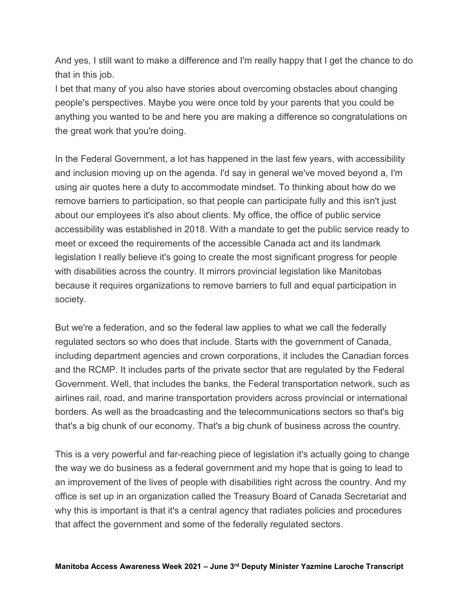And yes, I still want to make a difference and I'm really happy that I get the chance to do that in this job.

I bet that many of you also have stories about overcoming obstacles about changing people's perspectives. Maybe you were once told by your parents that you could be anything you wanted to be and here you are making a difference so congratulations on the great work that you're doing.

In the Federal Government, a lot has happened in the last few years, with accessibility and inclusion moving up on the agenda. I'd say in general we've moved beyond a, I'm using air quotes here a duty to accommodate mindset. To thinking about how do we remove barriers to participation, so that people can participate fully and this isn't just about our employees it's also about clients. My office, the office of public service accessibility was established in 2018. With a mandate to get the public service ready to meet or exceed the requirements of the accessible Canada act and its landmark legislation I really believe it's going to create the most significant progress for people with disabilities across the country. It mirrors provincial legislation like Manitobas because it requires organizations to remove barriers to full and equal participation in society.

But we're a federation, and so the federal law applies to what we call the federally regulated sectors so who does that include. Starts with the government of Canada, including department agencies and crown corporations, it includes the Canadian forces and the RCMP. It includes parts of the private sector that are regulated by the Federal Government. Well, that includes the banks, the Federal transportation network, such as airlines rail, road, and marine transportation providers across provincial or international borders. As well as the broadcasting and the telecommunications sectors so that's big that's a big chunk of our economy. That's a big chunk of business across the country.

This is a very powerful and far-reaching piece of legislation it's actually going to change the way we do business as a federal government and my hope that is going to lead to an improvement of the lives of people with disabilities right across the country. And my office is set up in an organization called the Treasury Board of Canada Secretariat and why this is important is that it's a central agency that radiates policies and procedures that affect the government and some of the federally regulated sectors.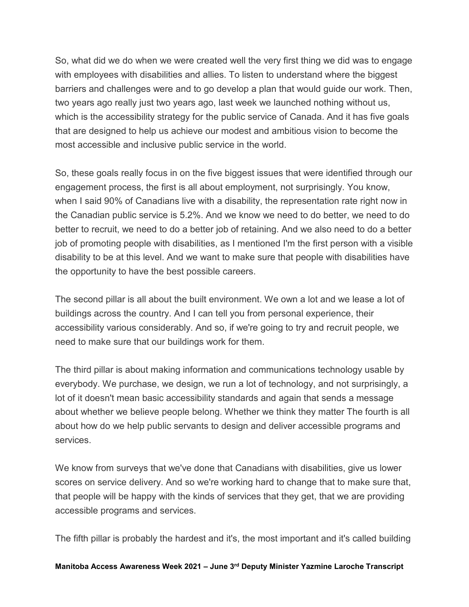So, what did we do when we were created well the very first thing we did was to engage with employees with disabilities and allies. To listen to understand where the biggest barriers and challenges were and to go develop a plan that would guide our work. Then, two years ago really just two years ago, last week we launched nothing without us, which is the accessibility strategy for the public service of Canada. And it has five goals that are designed to help us achieve our modest and ambitious vision to become the most accessible and inclusive public service in the world.

So, these goals really focus in on the five biggest issues that were identified through our engagement process, the first is all about employment, not surprisingly. You know, when I said 90% of Canadians live with a disability, the representation rate right now in the Canadian public service is 5.2%. And we know we need to do better, we need to do better to recruit, we need to do a better job of retaining. And we also need to do a better job of promoting people with disabilities, as I mentioned I'm the first person with a visible disability to be at this level. And we want to make sure that people with disabilities have the opportunity to have the best possible careers.

The second pillar is all about the built environment. We own a lot and we lease a lot of buildings across the country. And I can tell you from personal experience, their accessibility various considerably. And so, if we're going to try and recruit people, we need to make sure that our buildings work for them.

The third pillar is about making information and communications technology usable by everybody. We purchase, we design, we run a lot of technology, and not surprisingly, a lot of it doesn't mean basic accessibility standards and again that sends a message about whether we believe people belong. Whether we think they matter The fourth is all about how do we help public servants to design and deliver accessible programs and services.

We know from surveys that we've done that Canadians with disabilities, give us lower scores on service delivery. And so we're working hard to change that to make sure that, that people will be happy with the kinds of services that they get, that we are providing accessible programs and services.

The fifth pillar is probably the hardest and it's, the most important and it's called building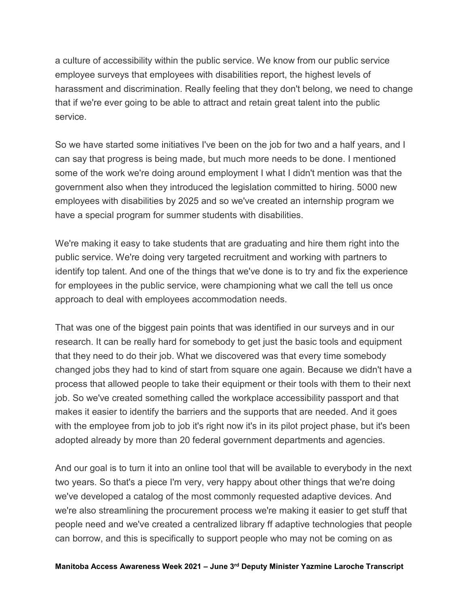a culture of accessibility within the public service. We know from our public service employee surveys that employees with disabilities report, the highest levels of harassment and discrimination. Really feeling that they don't belong, we need to change that if we're ever going to be able to attract and retain great talent into the public service.

So we have started some initiatives I've been on the job for two and a half years, and I can say that progress is being made, but much more needs to be done. I mentioned some of the work we're doing around employment I what I didn't mention was that the government also when they introduced the legislation committed to hiring. 5000 new employees with disabilities by 2025 and so we've created an internship program we have a special program for summer students with disabilities.

We're making it easy to take students that are graduating and hire them right into the public service. We're doing very targeted recruitment and working with partners to identify top talent. And one of the things that we've done is to try and fix the experience for employees in the public service, were championing what we call the tell us once approach to deal with employees accommodation needs.

That was one of the biggest pain points that was identified in our surveys and in our research. It can be really hard for somebody to get just the basic tools and equipment that they need to do their job. What we discovered was that every time somebody changed jobs they had to kind of start from square one again. Because we didn't have a process that allowed people to take their equipment or their tools with them to their next job. So we've created something called the workplace accessibility passport and that makes it easier to identify the barriers and the supports that are needed. And it goes with the employee from job to job it's right now it's in its pilot project phase, but it's been adopted already by more than 20 federal government departments and agencies.

And our goal is to turn it into an online tool that will be available to everybody in the next two years. So that's a piece I'm very, very happy about other things that we're doing we've developed a catalog of the most commonly requested adaptive devices. And we're also streamlining the procurement process we're making it easier to get stuff that people need and we've created a centralized library ff adaptive technologies that people can borrow, and this is specifically to support people who may not be coming on as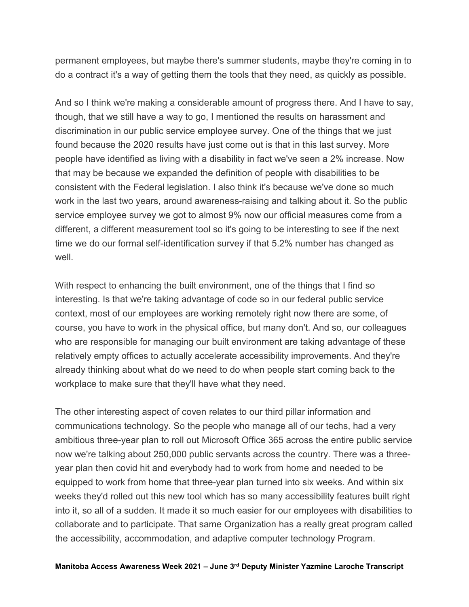permanent employees, but maybe there's summer students, maybe they're coming in to do a contract it's a way of getting them the tools that they need, as quickly as possible.

And so I think we're making a considerable amount of progress there. And I have to say, though, that we still have a way to go, I mentioned the results on harassment and discrimination in our public service employee survey. One of the things that we just found because the 2020 results have just come out is that in this last survey. More people have identified as living with a disability in fact we've seen a 2% increase. Now that may be because we expanded the definition of people with disabilities to be consistent with the Federal legislation. I also think it's because we've done so much work in the last two years, around awareness-raising and talking about it. So the public service employee survey we got to almost 9% now our official measures come from a different, a different measurement tool so it's going to be interesting to see if the next time we do our formal self-identification survey if that 5.2% number has changed as well

With respect to enhancing the built environment, one of the things that I find so interesting. Is that we're taking advantage of code so in our federal public service context, most of our employees are working remotely right now there are some, of course, you have to work in the physical office, but many don't. And so, our colleagues who are responsible for managing our built environment are taking advantage of these relatively empty offices to actually accelerate accessibility improvements. And they're already thinking about what do we need to do when people start coming back to the workplace to make sure that they'll have what they need.

The other interesting aspect of coven relates to our third pillar information and communications technology. So the people who manage all of our techs, had a very ambitious three-year plan to roll out Microsoft Office 365 across the entire public service now we're talking about 250,000 public servants across the country. There was a threeyear plan then covid hit and everybody had to work from home and needed to be equipped to work from home that three-year plan turned into six weeks. And within six weeks they'd rolled out this new tool which has so many accessibility features built right into it, so all of a sudden. It made it so much easier for our employees with disabilities to collaborate and to participate. That same Organization has a really great program called the accessibility, accommodation, and adaptive computer technology Program.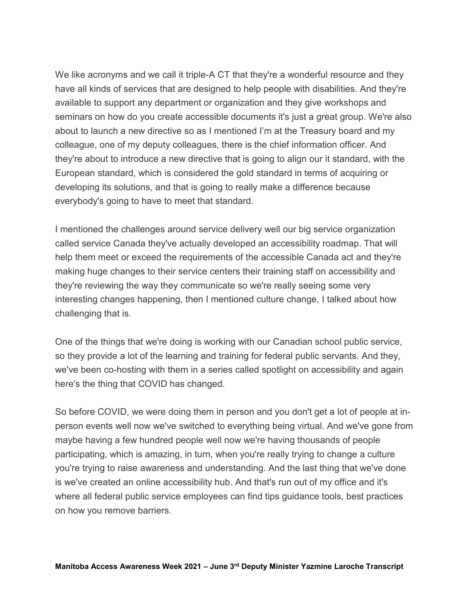We like acronyms and we call it triple-A CT that they're a wonderful resource and they have all kinds of services that are designed to help people with disabilities. And they're available to support any department or organization and they give workshops and seminars on how do you create accessible documents it's just a great group. We're also about to launch a new directive so as I mentioned I'm at the Treasury board and my colleague, one of my deputy colleagues, there is the chief information officer. And they're about to introduce a new directive that is going to align our it standard, with the European standard, which is considered the gold standard in terms of acquiring or developing its solutions, and that is going to really make a difference because everybody's going to have to meet that standard.

I mentioned the challenges around service delivery well our big service organization called service Canada they've actually developed an accessibility roadmap. That will help them meet or exceed the requirements of the accessible Canada act and they're making huge changes to their service centers their training staff on accessibility and they're reviewing the way they communicate so we're really seeing some very interesting changes happening, then I mentioned culture change, I talked about how challenging that is.

One of the things that we're doing is working with our Canadian school public service, so they provide a lot of the learning and training for federal public servants. And they, we've been co-hosting with them in a series called spotlight on accessibility and again here's the thing that COVID has changed.

So before COVID, we were doing them in person and you don't get a lot of people at inperson events well now we've switched to everything being virtual. And we've gone from maybe having a few hundred people well now we're having thousands of people participating, which is amazing, in turn, when you're really trying to change a culture you're trying to raise awareness and understanding. And the last thing that we've done is we've created an online accessibility hub. And that's run out of my office and it's where all federal public service employees can find tips guidance tools, best practices on how you remove barriers.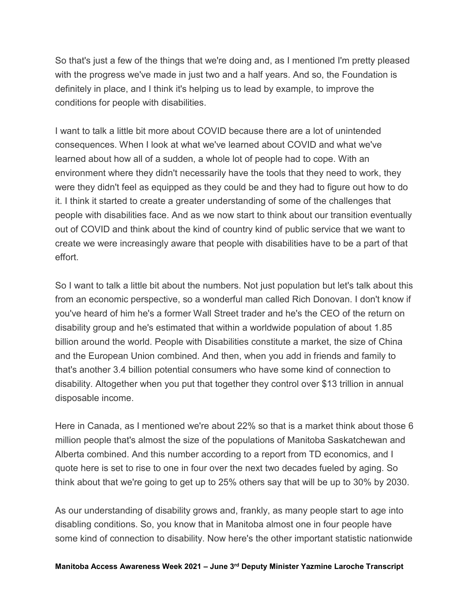So that's just a few of the things that we're doing and, as I mentioned I'm pretty pleased with the progress we've made in just two and a half years. And so, the Foundation is definitely in place, and I think it's helping us to lead by example, to improve the conditions for people with disabilities.

I want to talk a little bit more about COVID because there are a lot of unintended consequences. When I look at what we've learned about COVID and what we've learned about how all of a sudden, a whole lot of people had to cope. With an environment where they didn't necessarily have the tools that they need to work, they were they didn't feel as equipped as they could be and they had to figure out how to do it. I think it started to create a greater understanding of some of the challenges that people with disabilities face. And as we now start to think about our transition eventually out of COVID and think about the kind of country kind of public service that we want to create we were increasingly aware that people with disabilities have to be a part of that effort.

So I want to talk a little bit about the numbers. Not just population but let's talk about this from an economic perspective, so a wonderful man called Rich Donovan. I don't know if you've heard of him he's a former Wall Street trader and he's the CEO of the return on disability group and he's estimated that within a worldwide population of about 1.85 billion around the world. People with Disabilities constitute a market, the size of China and the European Union combined. And then, when you add in friends and family to that's another 3.4 billion potential consumers who have some kind of connection to disability. Altogether when you put that together they control over \$13 trillion in annual disposable income.

Here in Canada, as I mentioned we're about 22% so that is a market think about those 6 million people that's almost the size of the populations of Manitoba Saskatchewan and Alberta combined. And this number according to a report from TD economics, and I quote here is set to rise to one in four over the next two decades fueled by aging. So think about that we're going to get up to 25% others say that will be up to 30% by 2030.

As our understanding of disability grows and, frankly, as many people start to age into disabling conditions. So, you know that in Manitoba almost one in four people have some kind of connection to disability. Now here's the other important statistic nationwide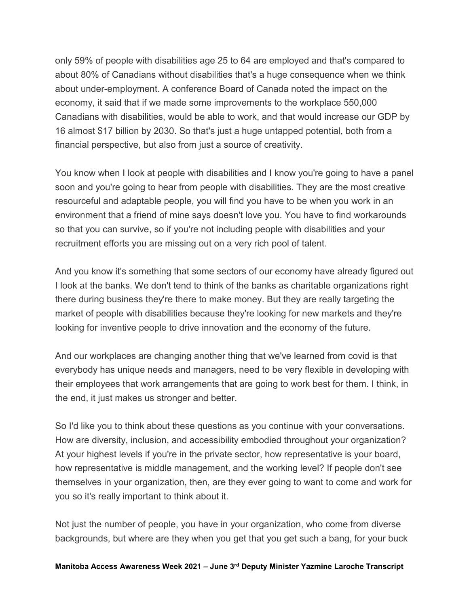only 59% of people with disabilities age 25 to 64 are employed and that's compared to about 80% of Canadians without disabilities that's a huge consequence when we think about under-employment. A conference Board of Canada noted the impact on the economy, it said that if we made some improvements to the workplace 550,000 Canadians with disabilities, would be able to work, and that would increase our GDP by 16 almost \$17 billion by 2030. So that's just a huge untapped potential, both from a financial perspective, but also from just a source of creativity.

You know when I look at people with disabilities and I know you're going to have a panel soon and you're going to hear from people with disabilities. They are the most creative resourceful and adaptable people, you will find you have to be when you work in an environment that a friend of mine says doesn't love you. You have to find workarounds so that you can survive, so if you're not including people with disabilities and your recruitment efforts you are missing out on a very rich pool of talent.

And you know it's something that some sectors of our economy have already figured out I look at the banks. We don't tend to think of the banks as charitable organizations right there during business they're there to make money. But they are really targeting the market of people with disabilities because they're looking for new markets and they're looking for inventive people to drive innovation and the economy of the future.

And our workplaces are changing another thing that we've learned from covid is that everybody has unique needs and managers, need to be very flexible in developing with their employees that work arrangements that are going to work best for them. I think, in the end, it just makes us stronger and better.

So I'd like you to think about these questions as you continue with your conversations. How are diversity, inclusion, and accessibility embodied throughout your organization? At your highest levels if you're in the private sector, how representative is your board, how representative is middle management, and the working level? If people don't see themselves in your organization, then, are they ever going to want to come and work for you so it's really important to think about it.

Not just the number of people, you have in your organization, who come from diverse backgrounds, but where are they when you get that you get such a bang, for your buck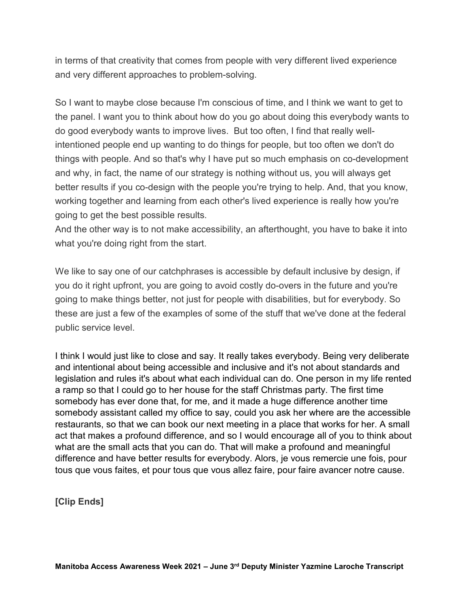in terms of that creativity that comes from people with very different lived experience and very different approaches to problem-solving.

So I want to maybe close because I'm conscious of time, and I think we want to get to the panel. I want you to think about how do you go about doing this everybody wants to do good everybody wants to improve lives. But too often, I find that really wellintentioned people end up wanting to do things for people, but too often we don't do things with people. And so that's why I have put so much emphasis on co-development and why, in fact, the name of our strategy is nothing without us, you will always get better results if you co-design with the people you're trying to help. And, that you know, working together and learning from each other's lived experience is really how you're going to get the best possible results.

And the other way is to not make accessibility, an afterthought, you have to bake it into what you're doing right from the start.

We like to say one of our catchphrases is accessible by default inclusive by design, if you do it right upfront, you are going to avoid costly do-overs in the future and you're going to make things better, not just for people with disabilities, but for everybody. So these are just a few of the examples of some of the stuff that we've done at the federal public service level.

I think I would just like to close and say. It really takes everybody. Being very deliberate and intentional about being accessible and inclusive and it's not about standards and legislation and rules it's about what each individual can do. One person in my life rented a ramp so that I could go to her house for the staff Christmas party. The first time somebody has ever done that, for me, and it made a huge difference another time somebody assistant called my office to say, could you ask her where are the accessible restaurants, so that we can book our next meeting in a place that works for her. A small act that makes a profound difference, and so I would encourage all of you to think about what are the small acts that you can do. That will make a profound and meaningful difference and have better results for everybody. Alors, je vous remercie une fois, pour tous que vous faites, et pour tous que vous allez faire, pour faire avancer notre cause.

**[Clip Ends]**